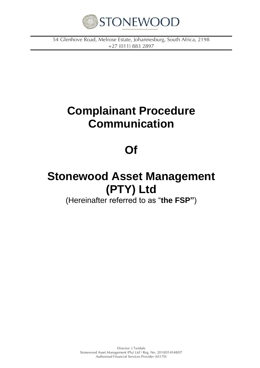

*54 Glenhove Road, Melrose Estate, Johannesburg, South Africa, 2198 +27 (011) 883 2897*

# **Complainant Procedure Communication**

### **Of**

# **Stonewood Asset Management (PTY) Ltd**

(Hereinafter referred to as "**the FSP"**)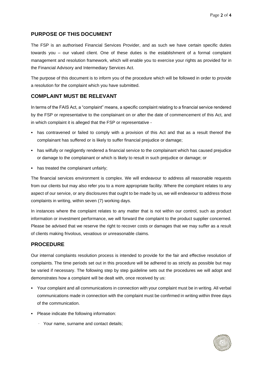#### **PURPOSE OF THIS DOCUMENT**

The FSP is an authorised Financial Services Provider, and as such we have certain specific duties towards you – our valued client. One of these duties is the establishment of a formal complaint management and resolution framework, which will enable you to exercise your rights as provided for in the Financial Advisory and Intermediary Services Act.

The purpose of this document is to inform you of the procedure which will be followed in order to provide a resolution for the complaint which you have submitted.

### **COMPLAINT MUST BE RELEVANT**

In terms of the FAIS Act, a "complaint" means, a specific complaint relating to a financial service rendered by the FSP or representative to the complainant on or after the date of commencement of this Act, and in which complaint it is alleged that the FSP or representative -

- has contravened or failed to comply with a provision of this Act and that as a result thereof the complainant has suffered or is likely to suffer financial prejudice or damage;
- has wilfully or negligently rendered a financial service to the complainant which has caused prejudice or damage to the complainant or which is likely to result in such prejudice or damage; or
- has treated the complainant unfairly;

The financial services environment is complex. We will endeavour to address all reasonable requests from our clients but may also refer you to a more appropriate facility. Where the complaint relates to any aspect of our service, or any disclosures that ought to be made by us, we will endeavour to address those complaints in writing, within seven (7) working days.

In instances where the complaint relates to any matter that is not within our control, such as product information or investment performance, we will forward the complaint to the product supplier concerned. Please be advised that we reserve the right to recover costs or damages that we may suffer as a result of clients making frivolous, vexatious or unreasonable claims.

#### **PROCEDURE**

Our internal complaints resolution process is intended to provide for the fair and effective resolution of complaints. The time periods set out in this procedure will be adhered to as strictly as possible but may be varied if necessary. The following step by step guideline sets out the procedures we will adopt and demonstrates how a complaint will be dealt with, once received by us:

- Your complaint and all communications in connection with your complaint must be in writing. All verbal communications made in connection with the complaint must be confirmed in writing within three days of the communication.
- Please indicate the following information:
	- · Your name, surname and contact details;

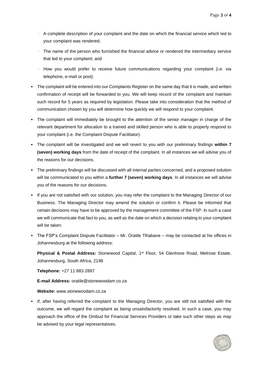- · A complete description of your complaint and the date on which the financial service which led to your complaint was rendered;
- · The name of the person who furnished the financial advice or rendered the intermediary service that led to your complaint; and
- · How you would prefer to receive future communications regarding your complaint (i.e. via telephone, e-mail or post).
- The complaint will be entered into our Complaints Register on the same day that it is made, and written confirmation of receipt will be forwarded to you. We will keep record of the complaint and maintain such record for 5 years as required by legislation. Please take into consideration that the method of communication chosen by you will determine how quickly we will respond to your complaint.
- The complaint will immediately be brought to the attention of the senior manager in charge of the relevant department for allocation to a trained and skilled person who is able to properly respond to your complaint (i.e. the Complaint Dispute Facilitator).
- The complaint will be investigated and we will revert to you with our preliminary findings **within 7 (seven) working days** from the date of receipt of the complaint. In all instances we will advise you of the reasons for our decisions.
- The preliminary findings will be discussed with all internal parties concerned, and a proposed solution will be communicated to you within a **further 7 (seven) working days**. In all instances we will advise you of the reasons for our decisions.
- If you are not satisfied with our solution, you may refer the complaint to the Managing Director of our Business. The Managing Director may amend the solution or confirm it. Please be informed that certain decisions may have to be approved by the management committee of the FSP. In such a case we will communicate that fact to you, as well as the date on which a decision relating to your complaint will be taken.
- The FSP's Complaint Dispute Facilitator Mr. Oratile Tlhabane may be contacted at his offices in Johannesburg at the following address:

Physical & Postal Address: Stonewood Capital, 1<sup>st</sup> Floor, 54 Glenhove Road, Melrose Estate, Johannesburg, South Africa, 2198

**Telephone:** +27 11 883 2897

**E-mail Address:** oratile@stonewoodam.co.za

#### **Website:** www.stonewoodam.co.za

▪ If, after having referred the complaint to the Managing Director, you are still not satisfied with the outcome, we will regard the complaint as being unsatisfactorily resolved. In such a case, you may approach the office of the Ombud for Financial Services Providers or take such other steps as may be advised by your legal representatives.